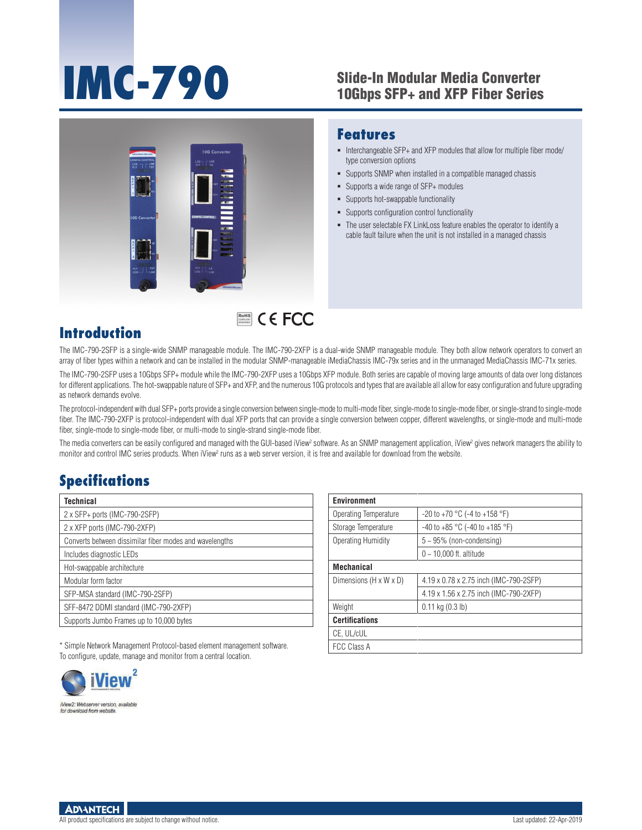# **IMC-790** Slide-In Modular Media Converter<br>10Gbps SFP+ and XFP Fiber Series

■ Interchangeable SFP+ and XFP modules that allow for multiple fiber mode/

The user selectable FX LinkLoss feature enables the operator to identify a cable fault failure when the unit is not installed in a managed chassis

Supports SNMP when installed in a compatible managed chassis

**Features**

type conversion options

 Supports a wide range of SFP+ modules **Supports hot-swappable functionality** Supports configuration control functionality



## RoHS **COMPLIANT** 2002/95/EC

#### **Introduction**

The IMC-790-2SFP is a single-wide SNMP manageable module. The IMC-790-2XFP is a dual-wide SNMP manageable module. They both allow network operators to convert an array of fiber types within a network and can be installed in the modular SNMP-manageable iMediaChassis IMC-79x series and in the unmanaged MediaChassis IMC-71x series.

The IMC-790-2SFP uses a 10Gbps SFP+ module while the IMC-790-2XFP uses a 10Gbps XFP module. Both series are capable of moving large amounts of data over long distances for different applications. The hot-swappable nature of SFP+ and XFP, and the numerous 10G protocols and types that are available all allow for easy configuration and future upgrading as network demands evolve.

The protocol-independent with dual SFP+ ports provide a single conversion between single-mode to multi-mode fiber, single-mode to single-mode fiber, or single-strand to single-mode fiber. The IMC-790-2XFP is protocol-independent with dual XFP ports that can provide a single conversion between copper, different wavelengths, or single-mode and multi-mode fiber, single-mode to single-mode fiber, or multi-mode to single-strand single-mode fiber.

The media converters can be easily configured and managed with the GUI-based iView<sup>2</sup> software. As an SNMP management application, iView<sup>2</sup> gives network managers the ability to monitor and control IMC series products. When iView<sup>2</sup> runs as a web server version, it is free and available for download from the website.

### **Specifications**

| Technical                                               |
|---------------------------------------------------------|
| 2 x SFP+ ports (IMC-790-2SFP)                           |
| 2 x XFP ports (IMC-790-2XFP)                            |
| Converts between dissimilar fiber modes and wavelengths |
| Includes diagnostic LEDs                                |
| Hot-swappable architecture                              |
| Modular form factor                                     |
| SFP-MSA standard (IMC-790-2SFP)                         |
| SFF-8472 DDMI standard (IMC-790-2XFP)                   |
| Supports Jumbo Frames up to 10,000 bytes                |

| <b>Environment</b>     |                                         |  |  |  |
|------------------------|-----------------------------------------|--|--|--|
| Operating Temperature  | $-20$ to $+70$ °C (-4 to $+158$ °F)     |  |  |  |
| Storage Temperature    | $-40$ to $+85$ °C ( $-40$ to $+185$ °F) |  |  |  |
| Operating Humidity     | $5 \sim 95\%$ (non-condensing)          |  |  |  |
|                        | $0 - 10,000$ ft. altitude               |  |  |  |
| <b>Mechanical</b>      |                                         |  |  |  |
| Dimensions (H x W x D) | 4.19 x 0.78 x 2.75 inch (IMC-790-2SFP)  |  |  |  |
|                        | 4.19 x 1.56 x 2.75 inch (IMC-790-2XFP)  |  |  |  |
| Weight                 | $0.11$ kg $(0.3$ lb)                    |  |  |  |
| <b>Certifications</b>  |                                         |  |  |  |
| CE. UL/cUL             |                                         |  |  |  |
| <b>FCC Class A</b>     |                                         |  |  |  |

\* Simple Network Management Protocol-based element management software. To configure, update, manage and monitor from a central location.



**ADVANTECH** 

All product specifications are subject to change without notice. Last updated: 22-Apr-2019